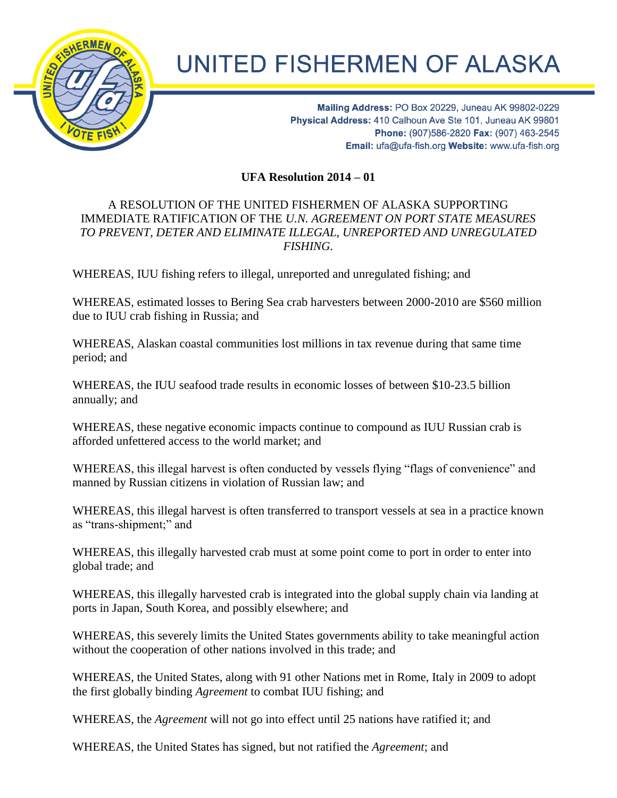

## **UNITED FISHERMEN OF ALASKA**

Mailing Address: PO Box 20229, Juneau AK 99802-0229 Physical Address: 410 Calhoun Ave Ste 101, Juneau AK 99801 Phone: (907)586-2820 Fax: (907) 463-2545 Email: ufa@ufa-fish.org Website: www.ufa-fish.org

**UFA Resolution 2014 – 01**

## A RESOLUTION OF THE UNITED FISHERMEN OF ALASKA SUPPORTING IMMEDIATE RATIFICATION OF THE *U.N. AGREEMENT ON PORT STATE MEASURES TO PREVENT, DETER AND ELIMINATE ILLEGAL, UNREPORTED AND UNREGULATED FISHING.*

WHEREAS, IUU fishing refers to illegal, unreported and unregulated fishing; and

WHEREAS, estimated losses to Bering Sea crab harvesters between 2000-2010 are \$560 million due to IUU crab fishing in Russia; and

WHEREAS, Alaskan coastal communities lost millions in tax revenue during that same time period; and

WHEREAS, the IUU seafood trade results in economic losses of between \$10-23.5 billion annually; and

WHEREAS, these negative economic impacts continue to compound as IUU Russian crab is afforded unfettered access to the world market; and

WHEREAS, this illegal harvest is often conducted by vessels flying "flags of convenience" and manned by Russian citizens in violation of Russian law; and

WHEREAS, this illegal harvest is often transferred to transport vessels at sea in a practice known as "trans-shipment;" and

WHEREAS, this illegally harvested crab must at some point come to port in order to enter into global trade; and

WHEREAS, this illegally harvested crab is integrated into the global supply chain via landing at ports in Japan, South Korea, and possibly elsewhere; and

WHEREAS, this severely limits the United States governments ability to take meaningful action without the cooperation of other nations involved in this trade; and

WHEREAS, the United States, along with 91 other Nations met in Rome, Italy in 2009 to adopt the first globally binding *Agreement* to combat IUU fishing; and

WHEREAS, the *Agreement* will not go into effect until 25 nations have ratified it; and

WHEREAS, the United States has signed, but not ratified the *Agreement*; and